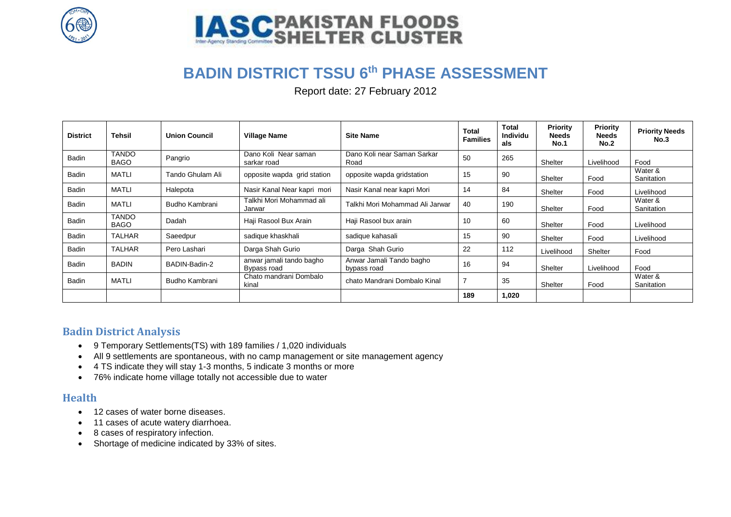



# **BADIN DISTRICT TSSU 6th PHASE ASSESSMENT**

Report date: 27 February 2012

| <b>District</b> | <b>Tehsil</b>               | <b>Union Council</b> | <b>Village Name</b>                     | <b>Site Name</b>                        | Total<br><b>Families</b> | <b>Total</b><br><b>Individu</b><br>als | Priority<br><b>Needs</b><br><b>No.1</b> | <b>Priority</b><br><b>Needs</b><br>No.2 | <b>Priority Needs</b><br>No.3 |
|-----------------|-----------------------------|----------------------|-----------------------------------------|-----------------------------------------|--------------------------|----------------------------------------|-----------------------------------------|-----------------------------------------|-------------------------------|
| Badin           | <b>TANDO</b><br><b>BAGO</b> | Pangrio              | Dano Koli Near saman<br>sarkar road     | Dano Koli near Saman Sarkar<br>Road     | 50                       | 265                                    | Shelter                                 | Livelihood                              | Food                          |
| Badin           | <b>MATLI</b>                | Tando Ghulam Ali     | opposite wapda grid station             | opposite wapda gridstation              | 15                       | 90                                     | Shelter                                 | Food                                    | Water &<br>Sanitation         |
| Badin           | <b>MATLI</b>                | Halepota             | Nasir Kanal Near kapri mori             | Nasir Kanal near kapri Mori             | 14                       | 84                                     | Shelter                                 | Food                                    | Livelihood                    |
| Badin           | <b>MATLI</b>                | Budho Kambrani       | Talkhi Mori Mohammad ali<br>Jarwar      | Talkhi Mori Mohammad Ali Jarwar         | 40                       | 190                                    | Shelter                                 | Food                                    | Water &<br>Sanitation         |
| Badin           | <b>TANDO</b><br><b>BAGO</b> | Dadah                | Haji Rasool Bux Arain                   | Haji Rasool bux arain                   | 10                       | 60                                     | Shelter                                 | Food                                    | Livelihood                    |
| Badin           | <b>TALHAR</b>               | Saeedpur             | sadique khaskhali                       | sadique kahasali                        | 15                       | 90                                     | Shelter                                 | Food                                    | Livelihood                    |
| Badin           | <b>TALHAR</b>               | Pero Lashari         | Darga Shah Gurio                        | Darga Shah Gurio                        | 22                       | 112                                    | Livelihood                              | Shelter                                 | Food                          |
| Badin           | <b>BADIN</b>                | BADIN-Badin-2        | anwar jamali tando bagho<br>Bypass road | Anwar Jamali Tando bagho<br>bypass road | 16                       | 94                                     | Shelter                                 | Livelihood                              | Food                          |
| Badin           | <b>MATLI</b>                | Budho Kambrani       | Chato mandrani Dombalo<br>kinal         | chato Mandrani Dombalo Kinal            | $\overline{7}$           | 35                                     | Shelter                                 | Food                                    | Water &<br>Sanitation         |
|                 |                             |                      |                                         |                                         | 189                      | 1,020                                  |                                         |                                         |                               |

## **Badin District Analysis**

- 9 Temporary Settlements(TS) with 189 families / 1,020 individuals
- All 9 settlements are spontaneous, with no camp management or site management agency
- 4 TS indicate they will stay 1-3 months, 5 indicate 3 months or more
- 76% indicate home village totally not accessible due to water

## **Health**

- 12 cases of water borne diseases.
- 11 cases of acute watery diarrhoea.
- 8 cases of respiratory infection.
- Shortage of medicine indicated by 33% of sites.